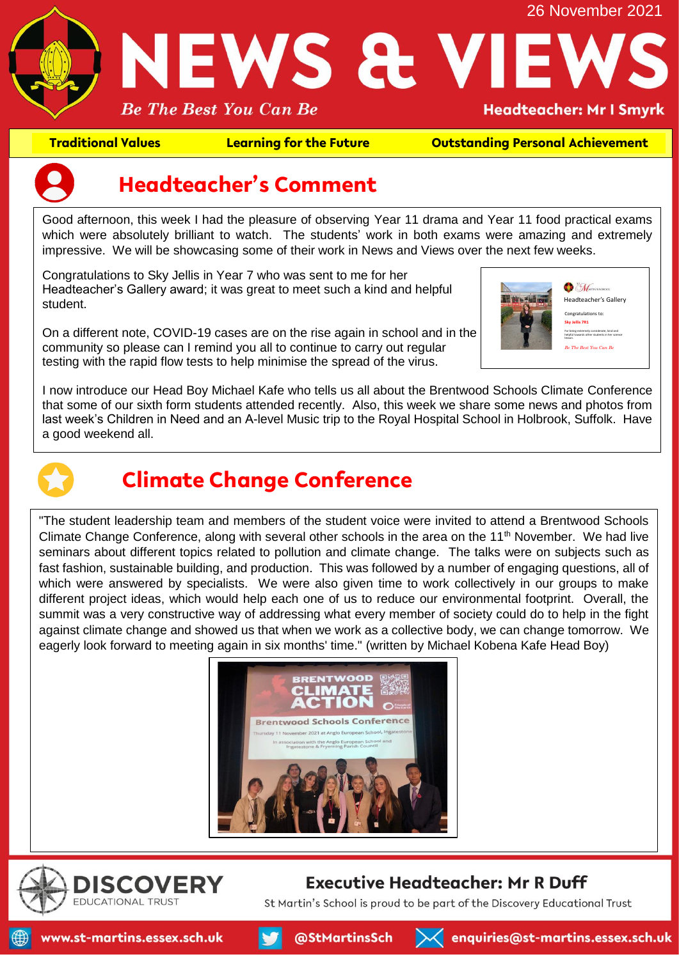

**Traditional Values Learning for the Future Outstanding Personal Achievement**



### **Headteacher's Comment**

Good afternoon, this week I had the pleasure of observing Year 11 drama and Year 11 food practical exams which were absolutely brilliant to watch. The students' work in both exams were amazing and extremely impressive. We will be showcasing some of their work in News and Views over the next few weeks.

Congratulations to Sky Jellis in Year 7 who was sent to me for her Headteacher's Gallery award; it was great to meet such a kind and helpful student.

On a different note, COVID-19 cases are on the rise again in school and in the community so please can I remind you all to continue to carry out regular testing with the rapid flow tests to help minimise the spread of the virus.



I now introduce our Head Boy Michael Kafe who tells us all about the Brentwood Schools Climate Conference that some of our sixth form students attended recently. Also, this week we share some news and photos from last week's Children in Need and an A-level Music trip to the Royal Hospital School in Holbrook, Suffolk. Have a good weekend all.



## **Climate Change Conference**

"The student leadership team and members of the student voice were invited to attend a Brentwood Schools Climate Change Conference, along with several other schools in the area on the  $11<sup>th</sup>$  November. We had live seminars about different topics related to pollution and climate change. The talks were on subjects such as fast fashion, sustainable building, and production. This was followed by a number of engaging questions, all of which were answered by specialists. We were also given time to work collectively in our groups to make different project ideas, which would help each one of us to reduce our environmental footprint. Overall, the summit was a very constructive way of addressing what every member of society could do to help in the fight against climate change and showed us that when we work as a collective body, we can change tomorrow. We eagerly look forward to meeting again in six months' time." (written by Michael Kobena Kafe Head Boy)





#### **Executive Headteacher: Mr R Duff**

St Martin's School is proud to be part of the Discovery Educational Trust